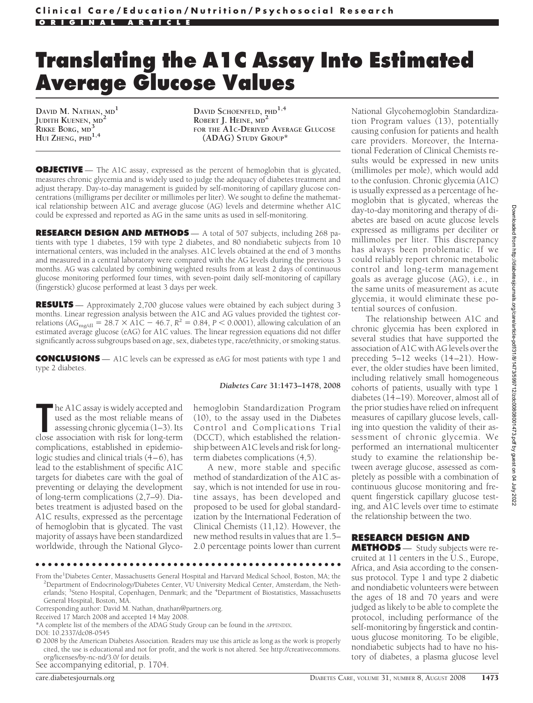# **Translating the A1C Assay Into Estimated Average Glucose Values**

**DAVID M. NATHAN, MD<sup>1</sup> JUDITH KUENEN, MD<sup>2</sup> RIKKE BORG, MD<sup>3</sup> HUI ZHENG, PHD1,4**

**DAVID SCHOENFELD, PHD1,4 ROBERT J. HEINE, MD<sup>2</sup> FOR THE A1C-DERIVED AVERAGE GLUCOSE (ADAG) STUDY GROUP\***

**OBJECTIVE** — The A1C assay, expressed as the percent of hemoglobin that is glycated, measures chronic glycemia and is widely used to judge the adequacy of diabetes treatment and adjust therapy. Day-to-day management is guided by self-monitoring of capillary glucose concentrations (milligrams per deciliter or millimoles per liter). We sought to define the mathematical relationship between A1C and average glucose (AG) levels and determine whether A1C could be expressed and reported as AG in the same units as used in self-monitoring.

**RESEARCH DESIGN AND METHODS** — A total of 507 subjects, including 268 patients with type 1 diabetes, 159 with type 2 diabetes, and 80 nondiabetic subjects from 10 international centers, was included in the analyses. A1C levels obtained at the end of 3 months and measured in a central laboratory were compared with the AG levels during the previous 3 months. AG was calculated by combining weighted results from at least 2 days of continuous glucose monitoring performed four times, with seven-point daily self-monitoring of capillary (fingerstick) glucose performed at least 3 days per week.

**RESULTS** — Approximately 2,700 glucose values were obtained by each subject during 3 months. Linear regression analysis between the A1C and AG values provided the tightest correlations (AG<sub>mg/dl</sub> = 28.7  $\times$  A1C – 46.7,  $R^2$  = 0.84, *P* < 0.0001), allowing calculation of an estimated average glucose (eAG) for A1C values. The linear regression equations did not differ significantly across subgroups based on age, sex, diabetes type, race/ethnicity, or smoking status.

**CONCLUSIONS** — A1C levels can be expressed as eAG for most patients with type 1 and type 2 diabetes.

#### *Diabetes Care* **31:1473–1478, 2008**

The A1C assay is widely accepted and<br>
used as the most reliable means of<br>
assessing chronic glycemia (1–3). Its<br>
close association with risk for long-term he A1C assay is widely accepted and used as the most reliable means of assessing chronic glycemia (1–3). Its complications, established in epidemiologic studies and clinical trials (4–6), has lead to the establishment of specific A1C targets for diabetes care with the goal of preventing or delaying the development of long-term complications (2,7–9). Diabetes treatment is adjusted based on the A1C results, expressed as the percentage of hemoglobin that is glycated. The vast majority of assays have been standardized worldwide, through the National Glyco-

hemoglobin Standardization Program (10), to the assay used in the Diabetes Control and Complications Trial (DCCT), which established the relationship between A1C levels and risk for longterm diabetes complications (4,5).

A new, more stable and specific method of standardization of the A1C assay, which is not intended for use in routine assays, has been developed and proposed to be used for global standardization by the International Federation of Clinical Chemists (11,12). However, the new method results in values that are 1.5– 2.0 percentage points lower than current

●●●●●●●●●●●●●●●●●●●●●●●●●●●●●●●●●●●●●●●●●●●●●●●●●

See accompanying editorial, p. 1704.

National Glycohemoglobin Standardization Program values (13), potentially causing confusion for patients and health care providers. Moreover, the International Federation of Clinical Chemists results would be expressed in new units (millimoles per mole), which would add to the confusion. Chronic glycemia (A1C) is usually expressed as a percentage of hemoglobin that is glycated, whereas the day-to-day monitoring and therapy of diabetes are based on acute glucose levels expressed as milligrams per deciliter or millimoles per liter. This discrepancy has always been problematic. If we could reliably report chronic metabolic control and long-term management goals as average glucose (AG), i.e., in the same units of measurement as acute glycemia, it would eliminate these potential sources of confusion.

The relationship between A1C and chronic glycemia has been explored in several studies that have supported the association of A1C with AG levels over the preceding 5–12 weeks (14–21). However, the older studies have been limited, including relatively small homogeneous cohorts of patients, usually with type 1 diabetes (14–19). Moreover, almost all of the prior studies have relied on infrequent measures of capillary glucose levels, calling into question the validity of their assessment of chronic glycemia. We performed an international multicenter study to examine the relationship between average glucose, assessed as completely as possible with a combination of continuous glucose monitoring and frequent fingerstick capillary glucose testing, and A1C levels over time to estimate the relationship between the two.

## **RESEARCH DESIGN AND**

**METHODS** — Study subjects were recruited at 11 centers in the U.S., Europe, Africa, and Asia according to the consensus protocol. Type 1 and type 2 diabetic and nondiabetic volunteers were between the ages of 18 and 70 years and were judged as likely to be able to complete the protocol, including performance of the self-monitoring by fingerstick and continuous glucose monitoring. To be eligible, nondiabetic subjects had to have no history of diabetes, a plasma glucose level

From the<sup>1</sup>Diabetes Center, Massachusetts General Hospital and Harvard Medical School, Boston, MA; the <sup>2</sup>Department of Endocripology/Diabetes Center, VLU University Medical Center, Amsterdam, the Neth <sup>2</sup>Department of Endocrinology/Diabetes Center, VU University Medical Center, Amsterdam, the Netherlands; <sup>3</sup>Steno Hospital, Copenhagen, Denmark; and the <sup>4</sup>Department of Biostatistics, Massachusetts General Hospital, Boston, MA.

Corresponding author: David M. Nathan, dnathan@partners.org.

Received 17 March 2008 and accepted 14 May 2008.

<sup>\*</sup>A complete list of the members of the ADAG Study Group can be found in the APPENDIX.

DOI: 10.2337/dc08-0545

<sup>© 2008</sup> by the American Diabetes Association. Readers may use this article as long as the work is properly cited, the use is educational and not for profit, and the work is not altered. See http://creativecommons. org/licenses/by-nc-nd/3.0/ for details.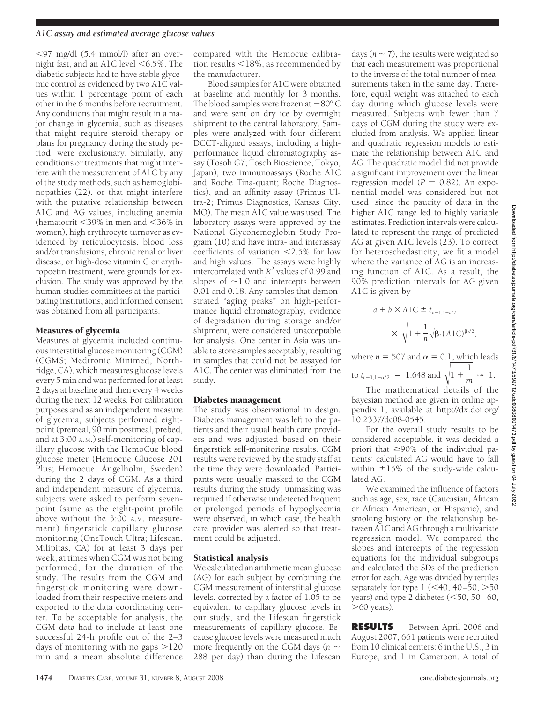#### *A1C assay and estimated average glucose values*

97 mg/dl (5.4 mmol/l) after an overnight fast, and an A1C level  $<$  6.5%. The diabetic subjects had to have stable glycemic control as evidenced by two A1C values within 1 percentage point of each other in the 6 months before recruitment. Any conditions that might result in a major change in glycemia, such as diseases that might require steroid therapy or plans for pregnancy during the study period, were exclusionary. Similarly, any conditions or treatments that might interfere with the measurement of A1C by any of the study methods, such as hemoglobinopathies (22), or that might interfere with the putative relationship between A1C and AG values, including anemia (hematocrit  $<39\%$  in men and  $<36\%$  in women), high erythrocyte turnover as evidenced by reticulocytosis, blood loss and/or transfusions, chronic renal or liver disease, or high-dose vitamin C or erythropoetin treatment, were grounds for exclusion. The study was approved by the human studies committees at the participating institutions, and informed consent was obtained from all participants.

#### Measures of glycemia

Measures of glycemia included continuous interstitial glucose monitoring (CGM) (CGMS; Medtronic Minimed, Northridge, CA), which measures glucose levels every 5 min and was performed for at least 2 days at baseline and then every 4 weeks during the next 12 weeks. For calibration purposes and as an independent measure of glycemia, subjects performed eightpoint (premeal, 90 min postmeal, prebed, and at 3:00 A.M.) self-monitoring of capillary glucose with the HemoCue blood glucose meter (Hemocue Glucose 201 Plus; Hemocue, Ángelholm, Sweden) during the 2 days of CGM. As a third and independent measure of glycemia, subjects were asked to perform sevenpoint (same as the eight-point profile above without the 3:00 A.M. measurement) fingerstick capillary glucose monitoring (OneTouch Ultra; Lifescan, Milipitas, CA) for at least 3 days per week, at times when CGM was not being performed, for the duration of the study. The results from the CGM and fingerstick monitoring were downloaded from their respective meters and exported to the data coordinating center. To be acceptable for analysis, the CGM data had to include at least one successful 24-h profile out of the 2–3 days of monitoring with no gaps  $>120$ min and a mean absolute difference

compared with the Hemocue calibration results  $<$  18%, as recommended by the manufacturer.

Blood samples for A1C were obtained at baseline and monthly for 3 months. The blood samples were frozen at  $-80^{\circ}$  C and were sent on dry ice by overnight shipment to the central laboratory. Samples were analyzed with four different DCCT-aligned assays, including a highperformance liquid chromatography assay (Tosoh G7; Tosoh Bioscience, Tokyo, Japan), two immunoassays (Roche A1C and Roche Tina-quant; Roche Diagnostics), and an affinity assay (Primus Ultra-2; Primus Diagnostics, Kansas City, MO). The mean A1C value was used. The laboratory assays were approved by the National Glycohemoglobin Study Program (10) and have intra- and interassay coefficients of variation <2.5% for low and high values. The assays were highly intercorrelated with *R*<sup>2</sup> values of 0.99 and slopes of  $\sim$ 1.0 and intercepts between 0.01 and 0.18. Any samples that demonstrated "aging peaks" on high-performance liquid chromatography, evidence of degradation during storage and/or shipment, were considered unacceptable for analysis. One center in Asia was unable to store samples acceptably, resulting in samples that could not be assayed for A1C. The center was eliminated from the study.

#### Diabetes management

The study was observational in design. Diabetes management was left to the patients and their usual health care providers and was adjusted based on their fingerstick self-monitoring results. CGM results were reviewed by the study staff at the time they were downloaded. Participants were usually masked to the CGM results during the study; unmasking was required if otherwise undetected frequent or prolonged periods of hypoglycemia were observed, in which case, the health care provider was alerted so that treatment could be adjusted.

#### Statistical analysis

We calculated an arithmetic mean glucose (AG) for each subject by combining the CGM measurement of interstitial glucose levels, corrected by a factor of 1.05 to be equivalent to capillary glucose levels in our study, and the Lifescan fingerstick measurements of capillary glucose. Because glucose levels were measured much more frequently on the CGM days ( $n \sim$ 288 per day) than during the Lifescan

days ( $n \sim 7$ ), the results were weighted so that each measurement was proportional to the inverse of the total number of measurements taken in the same day. Therefore, equal weight was attached to each day during which glucose levels were measured. Subjects with fewer than 7 days of CGM during the study were excluded from analysis. We applied linear and quadratic regression models to estimate the relationship between A1C and AG. The quadratic model did not provide a significant improvement over the linear regression model  $(P = 0.82)$ . An exponential model was considered but not used, since the paucity of data in the higher A1C range led to highly variable estimates. Prediction intervals were calculated to represent the range of predicted AG at given A1C levels (23). To correct for heteroschedasticity, we fit a model where the variance of AG is an increasing function of A1C. As a result, the 90% prediction intervals for AG given A1C is given by

$$
a + b \times A1C \pm t_{n-1,1-d/2}
$$
  
 
$$
\times \sqrt{1 + \frac{1}{n}} \sqrt{\beta_1} (A1C)^{\beta_2/2},
$$

where  $n = 507$  and  $\alpha = 0.1$ , which leads to  $t_{n-1,1-\alpha/2}$  = 1.648 and  $\sqrt{1+\frac{1}{m}} \approx 1$ .

The mathematical details of the Bayesian method are given in online appendix 1, available at http://dx.doi.org/ 10.2337/dc08-0545.

For the overall study results to be considered acceptable, it was decided a priori that  $\geq 90\%$  of the individual patients' calculated AG would have to fall within  $\pm 15\%$  of the study-wide calculated AG.

We examined the influence of factors such as age, sex, race (Caucasian, African or African American, or Hispanic), and smoking history on the relationship between A1C and AG through a multivariate regression model. We compared the slopes and intercepts of the regression equations for the individual subgroups and calculated the SDs of the prediction error for each. Age was divided by tertiles separately for type  $1$  (<40, 40–50, >50 years) and type 2 diabetes  $(<50, 50-60,$  $>60$  years).

**RESULTS** — Between April 2006 and August 2007, 661 patients were recruited from 10 clinical centers: 6 in the U.S., 3 in Europe, and 1 in Cameroon. A total of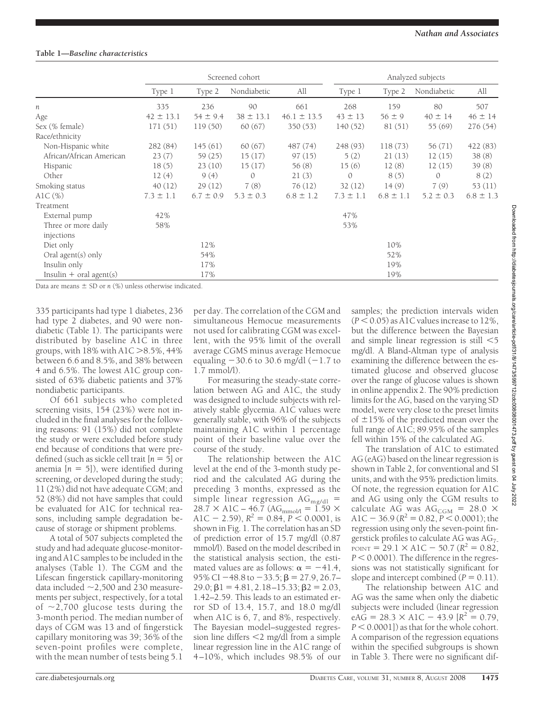# **Table 1—***Baseline characteristics*

|                           | Screened cohort |               |               |                 | Analyzed subjects |               |               |               |
|---------------------------|-----------------|---------------|---------------|-----------------|-------------------|---------------|---------------|---------------|
|                           | Type 1          | Type 2        | Nondiabetic   | All             | Type 1            | Type 2        | Nondiabetic   | All           |
| п                         | 335             | 236           | 90            | 661             | 268               | 159           | 80            | 507           |
| Age                       | $42 \pm 13.1$   | $54 \pm 9.4$  | $38 \pm 13.1$ | $46.1 \pm 13.5$ | $43 \pm 13$       | $56 \pm 9$    | $40 \pm 14$   | $46 \pm 14$   |
| Sex (% female)            | 171(51)         | 119(50)       | 60(67)        | 350 (53)        | 140 (52)          | 81(51)        | 55 (69)       | 276 (54)      |
| Race/ethnicity            |                 |               |               |                 |                   |               |               |               |
| Non-Hispanic white        | 282 (84)        | 145(61)       | 60(67)        | 487 (74)        | 248 (93)          | 118(73)       | 56 (71)       | 422 (83)      |
| African/African American  | 23(7)           | 59 (25)       | 15(17)        | 97(15)          | 5(2)              | 21(13)        | 12(15)        | 38(8)         |
| Hispanic                  | 18(5)           | 23(10)        | 15(17)        | 56(8)           | 15(6)             | 12(8)         | 12(15)        | 39(8)         |
| Other                     | 12(4)           | 9(4)          | $\mathcal{O}$ | 21(3)           | $\mathcal{O}$     | 8(5)          | $\Omega$      | 8(2)          |
| Smoking status            | 40(12)          | 29(12)        | 7(8)          | 76(12)          | 32(12)            | 14(9)         | 7(9)          | 53 (11)       |
| AlC $(\%)$                | $7.3 \pm 1.1$   | $6.7 \pm 0.9$ | $5.3 \pm 0.3$ | $6.8 \pm 1.2$   | $7.3 \pm 1.1$     | $6.8 \pm 1.1$ | $5.2 \pm 0.3$ | $6.8 \pm 1.3$ |
| Treatment                 |                 |               |               |                 |                   |               |               |               |
| External pump             | 42%             |               |               |                 | 47%               |               |               |               |
| Three or more daily       | 58%             |               |               |                 | 53%               |               |               |               |
| injections                |                 |               |               |                 |                   |               |               |               |
| Diet only                 |                 | 12%           |               |                 |                   | 10%           |               |               |
| Oral agent(s) only        |                 | 54%           |               |                 |                   | 52%           |               |               |
| Insulin only              |                 | 17%           |               |                 |                   | 19%           |               |               |
| $Insulin + oral agent(s)$ |                 | 17%           |               |                 |                   | 19%           |               |               |

Data are means  $\pm$  SD or *n*  $(\%)$  unless otherwise indicated.

335 participants had type 1 diabetes, 236 had type 2 diabetes, and 90 were nondiabetic (Table 1). The participants were distributed by baseline A1C in three groups, with  $18\%$  with  $A1C > 8.5\%$ , 44% between 6.6 and 8.5%, and 38% between 4 and 6.5%. The lowest A1C group consisted of 63% diabetic patients and 37% nondiabetic participants.

Of 661 subjects who completed screening visits, 154 (23%) were not included in the final analyses for the following reasons: 91 (15%) did not complete the study or were excluded before study end because of conditions that were predefined (such as sickle cell trait  $[n = 5]$  or anemia  $[n = 5]$ ), were identified during screening, or developed during the study; 11 (2%) did not have adequate CGM; and 52 (8%) did not have samples that could be evaluated for A1C for technical reasons, including sample degradation because of storage or shipment problems.

A total of 507 subjects completed the study and had adequate glucose-monitoring and A1C samples to be included in the analyses (Table 1). The CGM and the Lifescan fingerstick capillary-monitoring data included  $\sim$ 2,500 and 230 measurements per subject, respectively, for a total of  $\sim$ 2,700 glucose tests during the 3-month period. The median number of days of CGM was 13 and of fingerstick capillary monitoring was 39; 36% of the seven-point profiles were complete, with the mean number of tests being 5.1

per day. The correlation of the CGM and simultaneous Hemocue measurements not used for calibrating CGM was excellent, with the 95% limit of the overall average CGMS minus average Hemocue equaling  $-30.6$  to 30.6 mg/dl ( $-1.7$  to 1.7 mmol/l).

For measuring the steady-state correlation between AG and A1C, the study was designed to include subjects with relatively stable glycemia. A1C values were generally stable, with 96% of the subjects maintaining A1C within 1 percentage point of their baseline value over the course of the study.

The relationship between the A1C level at the end of the 3-month study period and the calculated AG during the preceding 3 months, expressed as the simple linear regression  $AG_{mg/dl}$  =  $28.7 \times A1C - 46.7$  (AG<sub>mmol</sub>  $= 1.59 \times$ A1C  $-$  2.59),  $R^2 = 0.84$ ,  $P \le 0.0001$ , is shown in Fig. 1. The correlation has an SD of prediction error of 15.7 mg/dl (0.87 mmol/l). Based on the model described in the statistical analysis section, the estimated values are as follows:  $\alpha = -41.4$ , 95% CI  $-48.8$  to  $-33.5$ ;  $\beta$  = 27.9, 26.7–  $29.0$ ;  $\beta$ 1 = 4.81, 2.18–15.33;  $\beta$ 2 = 2.03, 1.42–2.59. This leads to an estimated error SD of 13.4, 15.7, and 18.0 mg/dl when A1C is 6, 7, and 8%, respectively. The Bayesian model–suggested regression line differs  $\leq 2$  mg/dl from a simple linear regression line in the A1C range of 4–10%, which includes 98.5% of our

samples; the prediction intervals widen  $(P < 0.05)$  as A1C values increase to 12%. but the difference between the Bayesian and simple linear regression is still  $<$  5 mg/dl. A Bland-Altman type of analysis examining the difference between the estimated glucose and observed glucose over the range of glucose values is shown in online appendix 2. The 90% prediction limits for the AG, based on the varying SD model, were very close to the preset limits of  $\pm 15\%$  of the predicted mean over the full range of A1C; 89.95% of the samples fell within 15% of the calculated AG.

The translation of A1C to estimated AG (eAG) based on the linear regression is shown in Table 2, for conventional and SI units, and with the 95% prediction limits. Of note, the regression equation for A1C and AG using only the CGM results to calculate AG was  $AG_{CGM} = 28.0 \times$ A1C  $-$  36.9 ( $R^2$  = 0.82,  $P \le 0.0001$ ); the regression using only the seven-point fingerstick profiles to calculate AG was  $AG_{7}$ . POINT = 29.1  $\times$  A1C - 50.7 ( $R^2$  = 0.82,  $P < 0.0001$ ). The difference in the regressions was not statistically significant for slope and intercept combined  $(P = 0.11)$ .

The relationship between A1C and AG was the same when only the diabetic subjects were included (linear regression  $eA\ddot{G} = 28.3 \times A1C - 43.9$  [ $R^2 = 0.79$ ,  $P \leq 0.0001$ ]) as that for the whole cohort. A comparison of the regression equations within the specified subgroups is shown in Table 3. There were no significant dif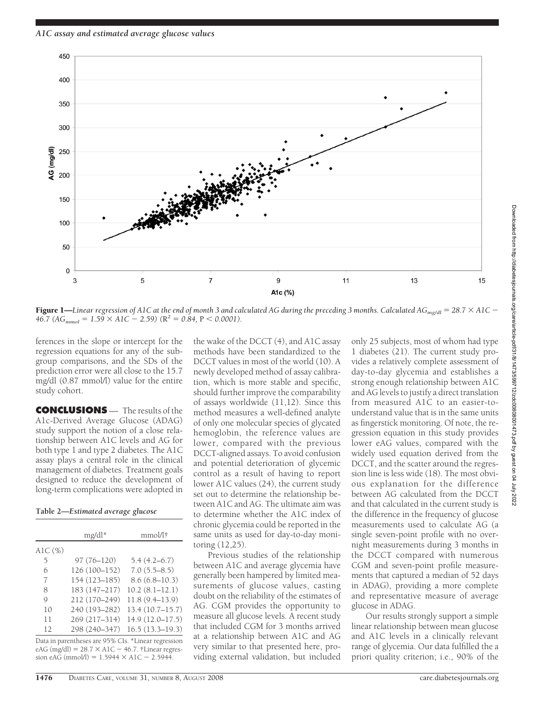*A1C assay and estimated average glucose values*



**Figure 1—**Linear regression of A1C at the end of month 3 and calculated AG during the preceding 3 months. Calculated AG<sub>mg/dl</sub> = 28.7  $\times$  A1C  $46.7$  (*AG<sub>mmol</sub>* =  $1.59 \times A1C - 2.59$ ) ( $R^2 = 0.84$ ,  $P < 0.0001$ ).

ferences in the slope or intercept for the regression equations for any of the subgroup comparisons, and the SDs of the prediction error were all close to the 15.7 mg/dl (0.87 mmol/l) value for the entire study cohort.

**CONCLUSIONS** — The results of the A1c-Derived Average Glucose (ADAG) study support the notion of a close relationship between A1C levels and AG for both type 1 and type 2 diabetes. The A1C assay plays a central role in the clinical management of diabetes. Treatment goals designed to reduce the development of long-term complications were adopted in

**Table 2—***Estimated average glucose*

|            | mg/dl*           | mmol/l†                                             |  |  |
|------------|------------------|-----------------------------------------------------|--|--|
| AlC $(\%)$ |                  |                                                     |  |  |
| 5          | 97 (76-120)      | $5.4(4.2-6.7)$                                      |  |  |
| 6          | 126 (100-152)    | $7.0(5.5 - 8.5)$                                    |  |  |
| 7          | $154(123 - 185)$ | $8.6(6.8 - 10.3)$                                   |  |  |
| 8          | 183 (147-217)    | $10.2(8.1-12.1)$                                    |  |  |
| Q          | 212 (170-249)    | 11.8(9.4–13.9)                                      |  |  |
| 10         | 240 (193-282)    | 13.4(10.7–15.7)                                     |  |  |
| 11         | 269 (217-314)    | $14.9(12.0 - 17.5)$                                 |  |  |
| 12         | 298 (240-347)    | $16.5(13.3 - 19.3)$                                 |  |  |
|            |                  | Data in parentheses are 95% CIs. *Linear regression |  |  |

 $eAG (mg/dl) = 28.7 \times A1C - 46.7$ . †Linear regression eAG (mmol/l) =  $1.5944 \times A1C - 2.5944$ .

the wake of the DCCT (4), and A1C assay methods have been standardized to the DCCT values in most of the world (10). A newly developed method of assay calibration, which is more stable and specific, should further improve the comparability of assays worldwide (11,12). Since this method measures a well-defined analyte of only one molecular species of glycated hemoglobin, the reference values are lower, compared with the previous DCCT-aligned assays. To avoid confusion and potential deterioration of glycemic control as a result of having to report lower A1C values (24), the current study set out to determine the relationship between A1C and AG. The ultimate aim was to determine whether the A1C index of chronic glycemia could be reported in the same units as used for day-to-day monitoring (12,25).

Previous studies of the relationship between A1C and average glycemia have generally been hampered by limited measurements of glucose values, casting doubt on the reliability of the estimates of AG. CGM provides the opportunity to measure all glucose levels. A recent study that included CGM for 3 months arrived at a relationship between A1C and AG very similar to that presented here, providing external validation, but included

only 25 subjects, most of whom had type 1 diabetes (21). The current study provides a relatively complete assessment of day-to-day glycemia and establishes a strong enough relationship between A1C and AG levels to justify a direct translation from measured A1C to an easier-tounderstand value that is in the same units as fingerstick monitoring. Of note, the regression equation in this study provides lower eAG values, compared with the widely used equation derived from the DCCT, and the scatter around the regression line is less wide (18). The most obvious explanation for the difference between AG calculated from the DCCT and that calculated in the current study is the difference in the frequency of glucose measurements used to calculate AG (a single seven-point profile with no overnight measurements during 3 months in the DCCT compared with numerous CGM and seven-point profile measurements that captured a median of 52 days in ADAG), providing a more complete and representative measure of average glucose in ADAG.

Our results strongly support a simple linear relationship between mean glucose and A1C levels in a clinically relevant range of glycemia. Our data fulfilled the a priori quality criterion; i.e., 90% of the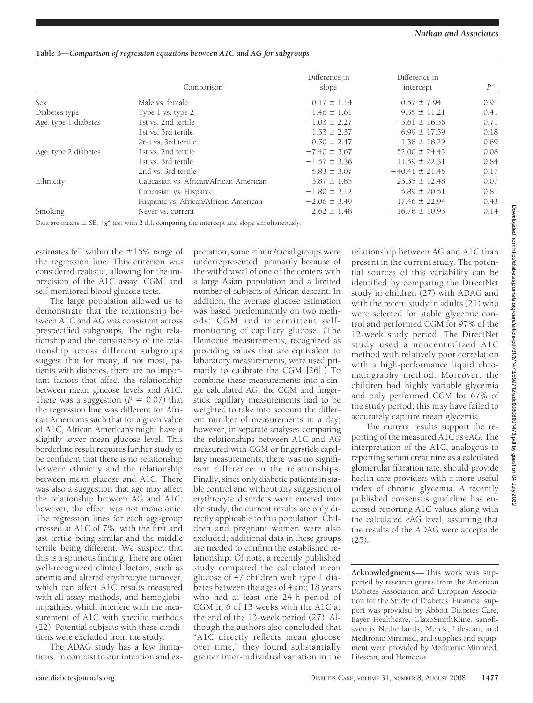|                      | Comparison                             | Difference in<br>slope | Difference in<br>intercept | $P^*$ |
|----------------------|----------------------------------------|------------------------|----------------------------|-------|
| <b>Sex</b>           | Male vs. female                        | $0.17 \pm 1.14$        | $0.57 \pm 7.94$            | 0.91  |
| Diabetes type        | Type 1 vs. type 2                      | $-1.46 \pm 1.61$       | $9.35 \pm 11.21$           | 0.41  |
| Age, type 1 diabetes | 1st vs. 2nd tertile                    | $-1.03 \pm 2.27$       | $-5.61 \pm 16.56$          | 0.71  |
|                      | 1st vs. 3rd tertile                    | $1.53 \pm 2.37$        | $-6.99 \pm 17.59$          | 0.18  |
|                      | 2nd vs. 3rd tertile                    | $0.50 \pm 2.47$        | $-1.38 \pm 18.29$          | 0.69  |
| Age, type 2 diabetes | 1st vs. 2nd tertile                    | $-7.40 \pm 3.67$       | $52.00 \pm 24.43$          | 0.08  |
|                      | 1st vs. 3rd tertile                    | $-1.57 \pm 3.36$       | $11.59 \pm 22.31$          | 0.84  |
|                      | 2nd vs. 3rd tertile                    | $5.83 \pm 3.07$        | $-40.41 \pm 21.45$         | 0.17  |
| Ethnicity            | Caucasian vs. African/African-American | $3.87 \pm 1.85$        | $23.35 \pm 12.48$          | 0.07  |
|                      | Caucasian vs. Hispanic                 | $-1.80 \pm 3.12$       | $5.89 \pm 20.51$           | 0.81  |
|                      | Hispanic vs. African/African-American  | $-2.06 \pm 3.49$       | $17.46 \pm 22.94$          | 0.43  |
| Smoking              | Never vs. current                      | $2.62 \pm 1.48$        | $-16.76 \pm 10.93$         | 0.14  |

### **Table 3—***Comparison of regression equations between A1C and AG for subgroups*

Data are means  $\pm$  SE. \* $\chi^2$  test with 2 d.f. comparing the intercept and slope simultaneously.

estimates fell within the  $\pm 15\%$  range of the regression line. This criterion was considered realistic, allowing for the imprecision of the A1C assay, CGM, and self-monitored blood glucose tests.

The large population allowed us to demonstrate that the relationship between A1C and AG was consistent across prespecified subgroups. The tight relationship and the consistency of the relationship across different subgroups suggest that for many, if not most, patients with diabetes, there are no important factors that affect the relationship between mean glucose levels and A1C. There was a suggestion  $(P = 0.07)$  that the regression line was different for African Americans such that for a given value of A1C, African Americans might have a slightly lower mean glucose level. This borderline result requires further study to be confident that there is no relationship between ethnicity and the relationship between mean glucose and A1C. There was also a suggestion that age may affect the relationship between AG and A1C; however, the effect was not monotonic. The regression lines for each age-group crossed at A1C of 7%, with the first and last tertile being similar and the middle tertile being different. We suspect that this is a spurious finding. There are other well-recognized clinical factors, such as anemia and altered erythrocyte turnover, which can affect A1C results measured with all assay methods, and hemoglobinopathies, which interfere with the measurement of A1C with specific methods (22). Potential subjects with these conditions were excluded from the study.

The ADAG study has a few limitations. In contrast to our intention and ex-

pectation, some ethnic/racial groups were underrepresented, primarily because of the withdrawal of one of the centers with a large Asian population and a limited number of subjects of African descent. In addition, the average glucose estimation was based predominantly on two methods: CGM and intermittent selfmonitoring of capillary glucose. (The Hemocue measurements, recognized as providing values that are equivalent to laboratory measurements, were used primarily to calibrate the CGM [26].) To combine these measurements into a single calculated AG, the CGM and fingerstick capillary measurements had to be weighted to take into account the different number of measurements in a day; however, in separate analyses comparing the relationships between A1C and AG measured with CGM or fingerstick capillary measurements, there was no significant difference in the relationships. Finally, since only diabetic patients in stable control and without any suggestion of erythrocyte disorders were entered into the study, the current results are only directly applicable to this population. Children and pregnant women were also excluded; additional data in these groups are needed to confirm the established relationship. Of note, a recently published study compared the calculated mean glucose of 47 children with type 1 diabetes between the ages of 4 and 18 years who had at least one 24-h period of CGM in 6 of 13 weeks with the A1C at the end of the 13-week period (27). Although the authors also concluded that "A1C directly reflects mean glucose over time," they found substantially greater inter-individual variation in the

relationship between AG and A1C than present in the current study. The potential sources of this variability can be identified by comparing the DirectNet study in children (27) with ADAG and with the recent study in adults (21) who were selected for stable glycemic control and performed CGM for 97% of the 12-week study period. The DirectNet study used a noncentralized A1C method with relatively poor correlation with a high-performance liquid chromatography method. Moreover, the children had highly variable glycemia and only performed CGM for 67% of the study period; this may have failed to accurately capture mean glycemia.

The current results support the reporting of the measured A1C as eAG. The interpretation of the A1C, analogous to reporting serum creatinine as a calculated glomerular filtration rate, should provide health care providers with a more useful index of chronic glycemia. A recently published consensus guideline has endorsed reporting A1C values along with the calculated eAG level, assuming that the results of the ADAG were acceptable (25).

**Acknowledgments**— This work was supported by research grants from the American Diabetes Association and European Association for the Study of Diabetes. Financial support was provided by Abbott Diabetes Care, Bayer Healthcare, GlaxoSmithKline, sanofiaventis Netherlands, Merck, Lifescan, and Medtronic Minimed, and supplies and equipment were provided by Medtronic Minimed, Lifescan, and Hemocue.